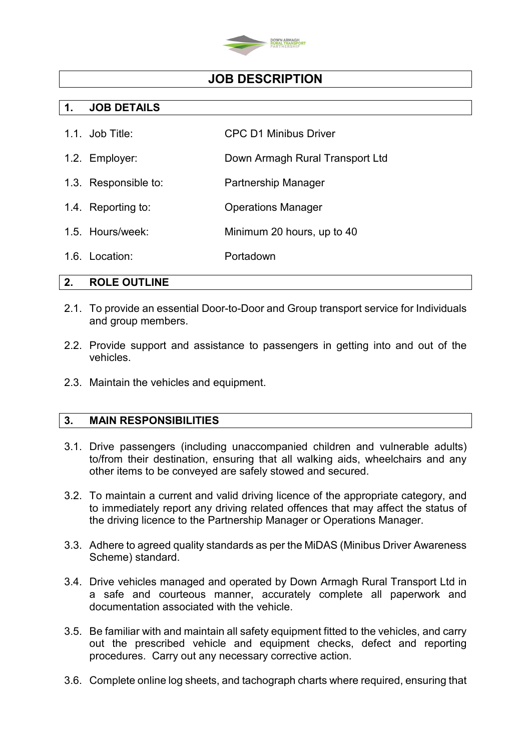

## **JOB DESCRIPTION**

### **1. JOB DETAILS**

- 1.1. Job Title: CPC D1 Minibus Driver
- 1.2. Employer: Down Armagh Rural Transport Ltd
- 1.3. Responsible to: Partnership Manager
- 1.4. Reporting to: Operations Manager
- 1.5. Hours/week: Minimum 20 hours, up to 40
- 1.6. Location: Portadown

### **2. ROLE OUTLINE**

- 2.1. To provide an essential Door-to-Door and Group transport service for Individuals and group members.
- 2.2. Provide support and assistance to passengers in getting into and out of the vehicles.
- 2.3. Maintain the vehicles and equipment.

### **3. MAIN RESPONSIBILITIES**

- 3.1. Drive passengers (including unaccompanied children and vulnerable adults) to/from their destination, ensuring that all walking aids, wheelchairs and any other items to be conveyed are safely stowed and secured.
- 3.2. To maintain a current and valid driving licence of the appropriate category, and to immediately report any driving related offences that may affect the status of the driving licence to the Partnership Manager or Operations Manager.
- 3.3. Adhere to agreed quality standards as per the MiDAS (Minibus Driver Awareness Scheme) standard.
- 3.4. Drive vehicles managed and operated by Down Armagh Rural Transport Ltd in a safe and courteous manner, accurately complete all paperwork and documentation associated with the vehicle.
- 3.5. Be familiar with and maintain all safety equipment fitted to the vehicles, and carry out the prescribed vehicle and equipment checks, defect and reporting procedures. Carry out any necessary corrective action.
- 3.6. Complete online log sheets, and tachograph charts where required, ensuring that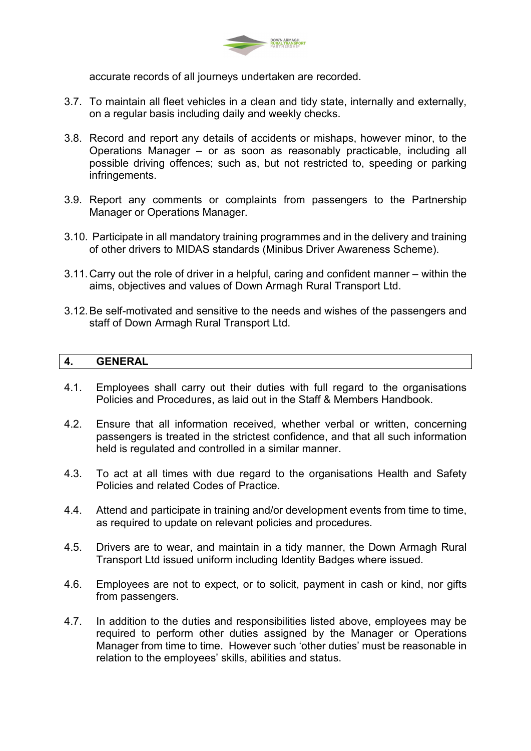

accurate records of all journeys undertaken are recorded.

- 3.7. To maintain all fleet vehicles in a clean and tidy state, internally and externally, on a regular basis including daily and weekly checks.
- 3.8. Record and report any details of accidents or mishaps, however minor, to the Operations Manager – or as soon as reasonably practicable, including all possible driving offences; such as, but not restricted to, speeding or parking infringements.
- 3.9. Report any comments or complaints from passengers to the Partnership Manager or Operations Manager.
- 3.10. Participate in all mandatory training programmes and in the delivery and training of other drivers to MIDAS standards (Minibus Driver Awareness Scheme).
- 3.11.Carry out the role of driver in a helpful, caring and confident manner within the aims, objectives and values of Down Armagh Rural Transport Ltd.
- 3.12.Be self-motivated and sensitive to the needs and wishes of the passengers and staff of Down Armagh Rural Transport Ltd.

#### **4. GENERAL**

- 4.1. Employees shall carry out their duties with full regard to the organisations Policies and Procedures, as laid out in the Staff & Members Handbook.
- 4.2. Ensure that all information received, whether verbal or written, concerning passengers is treated in the strictest confidence, and that all such information held is regulated and controlled in a similar manner.
- 4.3. To act at all times with due regard to the organisations Health and Safety Policies and related Codes of Practice.
- 4.4. Attend and participate in training and/or development events from time to time, as required to update on relevant policies and procedures.
- 4.5. Drivers are to wear, and maintain in a tidy manner, the Down Armagh Rural Transport Ltd issued uniform including Identity Badges where issued.
- 4.6. Employees are not to expect, or to solicit, payment in cash or kind, nor gifts from passengers.
- 4.7. In addition to the duties and responsibilities listed above, employees may be required to perform other duties assigned by the Manager or Operations Manager from time to time. However such 'other duties' must be reasonable in relation to the employees' skills, abilities and status.